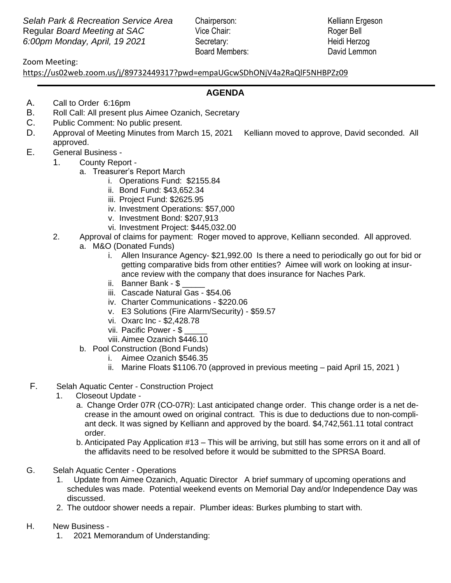**Selah Park & Recreation Service Area** Chairperson: Kelliann Ergeson Regular *Board Meeting at SAC* Vice Chair: Roger Bell *6:00pm Monday, April, 19 2021* Secretary: Heidi Herzog 

Board Members: David Lemmon

## Zoom Meeting:

Zoom Meeting:<br><u><https://us02web.zoom.us/j/89732449317?pwd=empaUGcwSDhONjV4a2RaQlF5NHBPZz09></u>

## **AGENDA**

- A. Call to Order 6:16pm
- B. Roll Call: All present plus Aimee Ozanich, Secretary
- C. Public Comment: No public present.
- D. Approval of Meeting Minutes from March 15, 2021 Kelliann moved to approve, David seconded. All approved.
- E. General Business
	- 1. County Report
		- a. Treasurer's Report March
			- i. Operations Fund: \$2155.84
			- ii. Bond Fund: \$43,652.34
			- iii. Project Fund: \$2625.95
			- iv. Investment Operations: \$57,000
			- v. Investment Bond: \$207,913
			- vi. Investment Project: \$445,032.00
	- 2. Approval of claims for payment: Roger moved to approve, Kelliann seconded. All approved.
		- a. M&O (Donated Funds)
			- i. Allen Insurance Agency- \$21,992.00 Is there a need to periodically go out for bid or getting comparative bids from other entities? Aimee will work on looking at insurance review with the company that does insurance for Naches Park.
			- ii. Banner Bank \$
			- iii. Cascade Natural Gas \$54.06
			- iv. Charter Communications \$220.06
			- v. E3 Solutions (Fire Alarm/Security) \$59.57
			- vi. Oxarc Inc \$2,428.78
			- vii. Pacific Power \$
			- viii. Aimee Ozanich \$446.10
		- b. Pool Construction (Bond Funds)
			- i. Aimee Ozanich \$546.35
			- ii. Marine Floats \$1106.70 (approved in previous meeting paid April 15, 2021 )
- F. Selah Aquatic Center Construction Project
	- 1. Closeout Update
		- a. Change Order 07R (CO-07R): Last anticipated change order. This change order is a net decrease in the amount owed on original contract. This is due to deductions due to non-compliant deck. It was signed by Kelliann and approved by the board. \$4,742,561.11 total contract order.
		- b. Anticipated Pay Application #13 This will be arriving, but still has some errors on it and all of the affidavits need to be resolved before it would be submitted to the SPRSA Board.
- G. Selah Aquatic Center Operations
	- 1. Update from Aimee Ozanich, Aquatic Director A brief summary of upcoming operations and schedules was made. Potential weekend events on Memorial Day and/or Independence Day was discussed.
	- 2. The outdoor shower needs a repair. Plumber ideas: Burkes plumbing to start with.
- H. New Business
	- 1. 2021 Memorandum of Understanding: